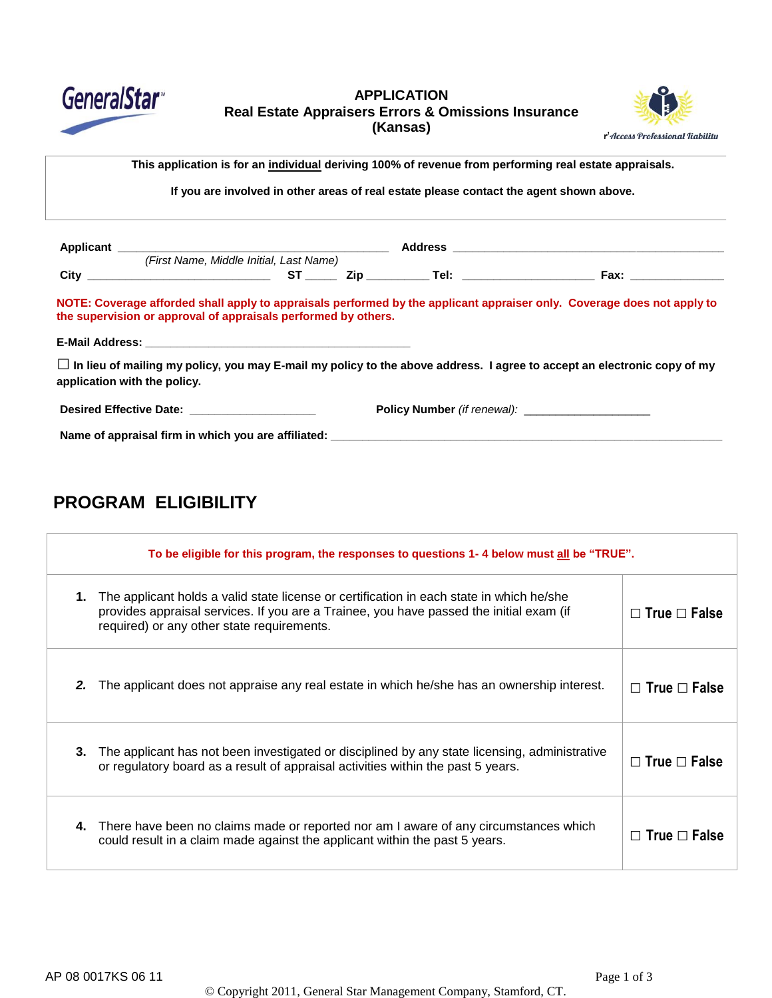

### **APPLICATION Real Estate Appraisers Errors & Omissions Insurance (Kansas)**



s Name> This application is for an <u>individual</u> deriving 100% of revenue from performing real estate appraisals.

If you are involved in other areas of real estate please contact the agent shown above.

|                                                                                                                                                                                                                                | (First Name, Middle Initial, Last Name) |  |  |                                                                                                                                |
|--------------------------------------------------------------------------------------------------------------------------------------------------------------------------------------------------------------------------------|-----------------------------------------|--|--|--------------------------------------------------------------------------------------------------------------------------------|
|                                                                                                                                                                                                                                |                                         |  |  |                                                                                                                                |
| the supervision or approval of appraisals performed by others.                                                                                                                                                                 |                                         |  |  | NOTE: Coverage afforded shall apply to appraisals performed by the applicant appraiser only. Coverage does not apply to        |
|                                                                                                                                                                                                                                |                                         |  |  |                                                                                                                                |
| application with the policy.                                                                                                                                                                                                   |                                         |  |  | $\Box$ In lieu of mailing my policy, you may E-mail my policy to the above address. I agree to accept an electronic copy of my |
| Desired Effective Date: New York 1999 and the Second Second Second Second Second Second Second Second Second Second Second Second Second Second Second Second Second Second Second Second Second Second Second Second Second S |                                         |  |  |                                                                                                                                |
| Name of appraisal firm in which you are affiliated: Name of approximation of appraisal firm in which you are affiliated:                                                                                                       |                                         |  |  |                                                                                                                                |

# **PROGRAM ELIGIBILITY**

| To be eligible for this program, the responses to questions 1-4 below must all be "TRUE". |                                                                                                                                                                                                                                   |                          |  |
|-------------------------------------------------------------------------------------------|-----------------------------------------------------------------------------------------------------------------------------------------------------------------------------------------------------------------------------------|--------------------------|--|
| 1.                                                                                        | The applicant holds a valid state license or certification in each state in which he/she<br>provides appraisal services. If you are a Trainee, you have passed the initial exam (if<br>required) or any other state requirements. | $\Box$ True $\Box$ False |  |
| 2.                                                                                        | The applicant does not appraise any real estate in which he/she has an ownership interest.                                                                                                                                        | $\Box$ True $\Box$ False |  |
| 3.                                                                                        | The applicant has not been investigated or disciplined by any state licensing, administrative<br>or regulatory board as a result of appraisal activities within the past 5 years.                                                 | $\Box$ True $\Box$ False |  |
| 4.                                                                                        | There have been no claims made or reported nor am I aware of any circumstances which<br>could result in a claim made against the applicant within the past 5 years.                                                               | $\Box$ True $\Box$ False |  |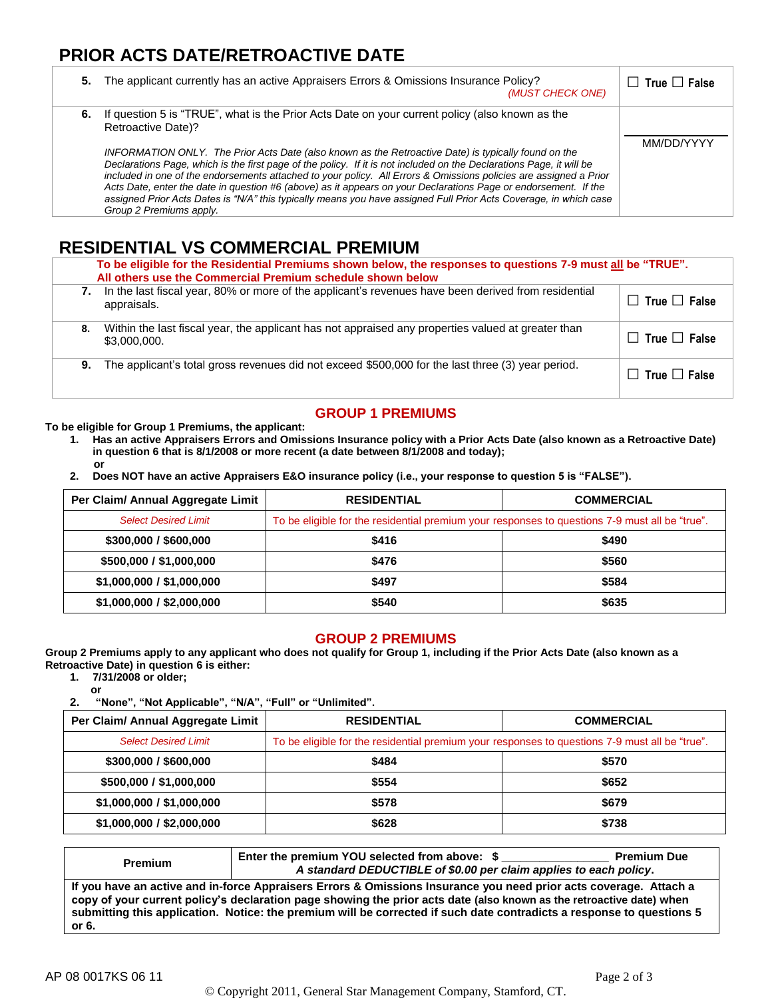## **PRIOR ACTS DATE/RETROACTIVE DATE**

| 5. | The applicant currently has an active Appraisers Errors & Omissions Insurance Policy?<br>(MUST CHECK ONE)                                                                                                                                                                                                                                                                                                                                                                                                                                                                                                                                                                                                                                       | $\Box$ True $\Box$ False |
|----|-------------------------------------------------------------------------------------------------------------------------------------------------------------------------------------------------------------------------------------------------------------------------------------------------------------------------------------------------------------------------------------------------------------------------------------------------------------------------------------------------------------------------------------------------------------------------------------------------------------------------------------------------------------------------------------------------------------------------------------------------|--------------------------|
|    | 6. If question 5 is "TRUE", what is the Prior Acts Date on your current policy (also known as the<br>Retroactive Date)?<br>INFORMATION ONLY. The Prior Acts Date (also known as the Retroactive Date) is typically found on the<br>Declarations Page, which is the first page of the policy. If it is not included on the Declarations Page, it will be<br>included in one of the endorsements attached to your policy. All Errors & Omissions policies are assigned a Prior<br>Acts Date, enter the date in question #6 (above) as it appears on your Declarations Page or endorsement. If the<br>assigned Prior Acts Dates is "N/A" this typically means you have assigned Full Prior Acts Coverage, in which case<br>Group 2 Premiums apply. | MM/DD/YYYY               |

## **RESIDENTIAL VS COMMERCIAL PREMIUM**

|    | To be eligible for the Residential Premiums shown below, the responses to questions 7-9 must all be "TRUE".<br>All others use the Commercial Premium schedule shown below |                          |  |  |
|----|---------------------------------------------------------------------------------------------------------------------------------------------------------------------------|--------------------------|--|--|
| 7. | In the last fiscal year, 80% or more of the applicant's revenues have been derived from residential<br>appraisals.                                                        | $\Box$ True $\Box$ False |  |  |
| 8. | Within the last fiscal year, the applicant has not appraised any properties valued at greater than<br>\$3,000,000.                                                        | $\Box$ True $\Box$ False |  |  |
| 9. | The applicant's total gross revenues did not exceed \$500,000 for the last three (3) year period.                                                                         | $\Box$ True $\Box$ False |  |  |

## **GROUP 1 PREMIUMS**

**To be eligible for Group 1 Premiums, the applicant:**

- **1. Has an active Appraisers Errors and Omissions Insurance policy with a Prior Acts Date (also known as a Retroactive Date) in question 6 that is 8/1/2008 or more recent (a date between 8/1/2008 and today); or**
- **2. Does NOT have an active Appraisers E&O insurance policy (i.e., your response to question 5 is "FALSE").**

| Per Claim/ Annual Aggregate Limit | <b>RESIDENTIAL</b>                                                                             | <b>COMMERCIAL</b> |  |
|-----------------------------------|------------------------------------------------------------------------------------------------|-------------------|--|
| <b>Select Desired Limit</b>       | To be eligible for the residential premium your responses to questions 7-9 must all be "true". |                   |  |
| \$300,000 / \$600,000             | \$416                                                                                          | \$490             |  |
| \$500,000 / \$1,000,000           | \$476                                                                                          | \$560             |  |
| \$1,000,000 / \$1,000,000         | \$497                                                                                          | \$584             |  |
| \$1,000,000 / \$2,000,000         | \$540                                                                                          | \$635             |  |

#### **GROUP 2 PREMIUMS**

**Group 2 Premiums apply to any applicant who does not qualify for Group 1, including if the Prior Acts Date (also known as a Retroactive Date) in question 6 is either:**

**1. 7/31/2008 or older;**

**or 2. "None", "Not Applicable", "N/A", "Full" or "Unlimited".**

| Per Claim/ Annual Aggregate Limit | <b>RESIDENTIAL</b>                                                                             | <b>COMMERCIAL</b> |  |
|-----------------------------------|------------------------------------------------------------------------------------------------|-------------------|--|
| <b>Select Desired Limit</b>       | To be eligible for the residential premium your responses to questions 7-9 must all be "true". |                   |  |
| \$300,000 / \$600,000             | \$484                                                                                          | \$570             |  |
| \$500,000 / \$1,000,000           | \$554                                                                                          | \$652             |  |
| \$1,000,000 / \$1,000,000         | \$578                                                                                          | \$679             |  |
| \$1,000,000 / \$2,000,000         | \$628                                                                                          | \$738             |  |

| <b>Premium</b>                                                                                                                                                                                                                                                                                                                                                              | Enter the premium YOU selected from above: \$<br>A standard DEDUCTIBLE of \$0.00 per claim applies to each policy. | <b>Premium Due</b> |  |
|-----------------------------------------------------------------------------------------------------------------------------------------------------------------------------------------------------------------------------------------------------------------------------------------------------------------------------------------------------------------------------|--------------------------------------------------------------------------------------------------------------------|--------------------|--|
| If you have an active and in-force Appraisers Errors & Omissions Insurance you need prior acts coverage. Attach a<br>copy of your current policy's declaration page showing the prior acts date (also known as the retroactive date) when<br>submitting this application. Notice: the premium will be corrected if such date contradicts a response to questions 5<br>or 6. |                                                                                                                    |                    |  |